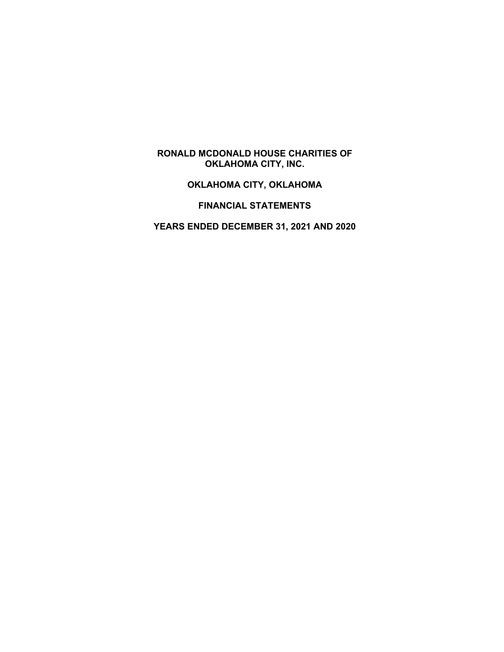### **RONALD MCDONALD HOUSE CHARITIES OF OKLAHOMA CITY, INC.**

**OKLAHOMA CITY, OKLAHOMA** 

**FINANCIAL STATEMENTS** 

**YEARS ENDED DECEMBER 31, 2021 AND 2020**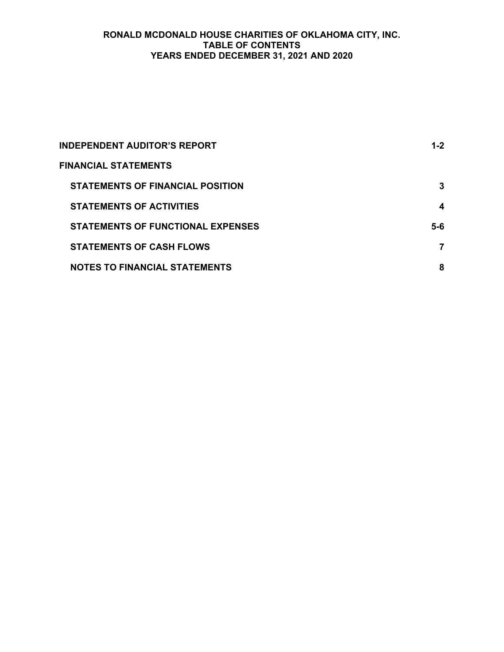### **RONALD MCDONALD HOUSE CHARITIES OF OKLAHOMA CITY, INC. TABLE OF CONTENTS YEARS ENDED DECEMBER 31, 2021 AND 2020**

| INDEPENDENT AUDITOR'S REPORT         | $1-2$ |
|--------------------------------------|-------|
| <b>FINANCIAL STATEMENTS</b>          |       |
| STATEMENTS OF FINANCIAL POSITION     | 3     |
| <b>STATEMENTS OF ACTIVITIES</b>      | 4     |
| STATEMENTS OF FUNCTIONAL EXPENSES    | $5-6$ |
| <b>STATEMENTS OF CASH FLOWS</b>      |       |
| <b>NOTES TO FINANCIAL STATEMENTS</b> | 8     |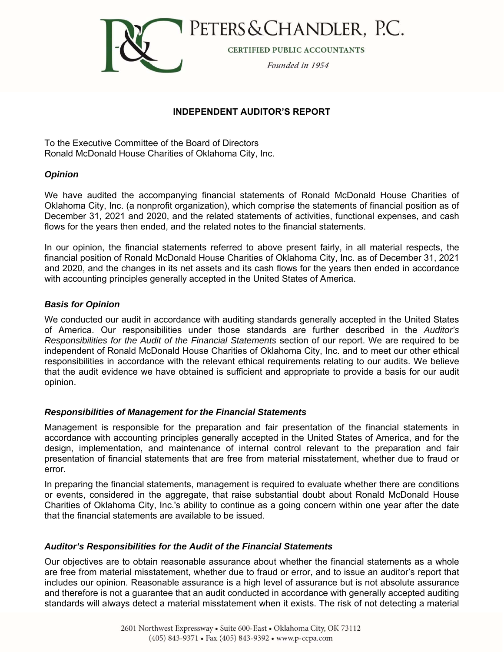

# **INDEPENDENT AUDITOR'S REPORT**

To the Executive Committee of the Board of Directors Ronald McDonald House Charities of Oklahoma City, Inc.

# *Opinion*

We have audited the accompanying financial statements of Ronald McDonald House Charities of Oklahoma City, Inc. (a nonprofit organization), which comprise the statements of financial position as of December 31, 2021 and 2020, and the related statements of activities, functional expenses, and cash flows for the years then ended, and the related notes to the financial statements.

In our opinion, the financial statements referred to above present fairly, in all material respects, the financial position of Ronald McDonald House Charities of Oklahoma City, Inc. as of December 31, 2021 and 2020, and the changes in its net assets and its cash flows for the years then ended in accordance with accounting principles generally accepted in the United States of America.

### *Basis for Opinion*

We conducted our audit in accordance with auditing standards generally accepted in the United States of America. Our responsibilities under those standards are further described in the *Auditor's Responsibilities for the Audit of the Financial Statements* section of our report. We are required to be independent of Ronald McDonald House Charities of Oklahoma City, Inc. and to meet our other ethical responsibilities in accordance with the relevant ethical requirements relating to our audits. We believe that the audit evidence we have obtained is sufficient and appropriate to provide a basis for our audit opinion.

#### *Responsibilities of Management for the Financial Statements*

Management is responsible for the preparation and fair presentation of the financial statements in accordance with accounting principles generally accepted in the United States of America, and for the design, implementation, and maintenance of internal control relevant to the preparation and fair presentation of financial statements that are free from material misstatement, whether due to fraud or error.

In preparing the financial statements, management is required to evaluate whether there are conditions or events, considered in the aggregate, that raise substantial doubt about Ronald McDonald House Charities of Oklahoma City, Inc.'s ability to continue as a going concern within one year after the date that the financial statements are available to be issued.

#### *Auditor's Responsibilities for the Audit of the Financial Statements*

Our objectives are to obtain reasonable assurance about whether the financial statements as a whole are free from material misstatement, whether due to fraud or error, and to issue an auditor's report that includes our opinion. Reasonable assurance is a high level of assurance but is not absolute assurance and therefore is not a guarantee that an audit conducted in accordance with generally accepted auditing standards will always detect a material misstatement when it exists. The risk of not detecting a material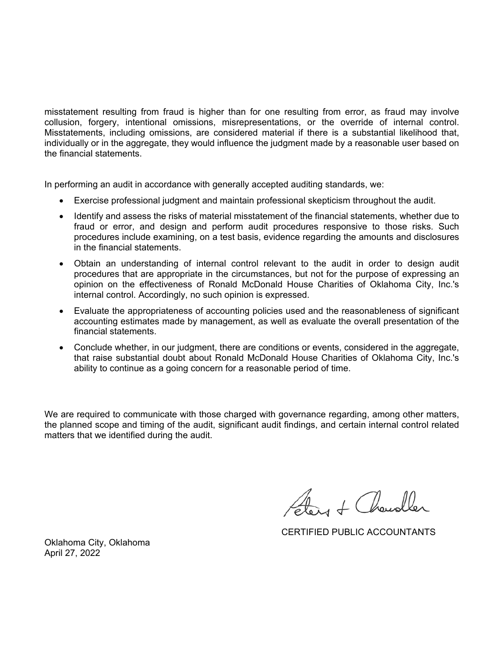misstatement resulting from fraud is higher than for one resulting from error, as fraud may involve collusion, forgery, intentional omissions, misrepresentations, or the override of internal control. Misstatements, including omissions, are considered material if there is a substantial likelihood that, individually or in the aggregate, they would influence the judgment made by a reasonable user based on the financial statements.

In performing an audit in accordance with generally accepted auditing standards, we:

- Exercise professional judgment and maintain professional skepticism throughout the audit.
- Identify and assess the risks of material misstatement of the financial statements, whether due to fraud or error, and design and perform audit procedures responsive to those risks. Such procedures include examining, on a test basis, evidence regarding the amounts and disclosures in the financial statements.
- Obtain an understanding of internal control relevant to the audit in order to design audit procedures that are appropriate in the circumstances, but not for the purpose of expressing an opinion on the effectiveness of Ronald McDonald House Charities of Oklahoma City, Inc.'s internal control. Accordingly, no such opinion is expressed.
- Evaluate the appropriateness of accounting policies used and the reasonableness of significant accounting estimates made by management, as well as evaluate the overall presentation of the financial statements.
- Conclude whether, in our judgment, there are conditions or events, considered in the aggregate, that raise substantial doubt about Ronald McDonald House Charities of Oklahoma City, Inc.'s ability to continue as a going concern for a reasonable period of time.

We are required to communicate with those charged with governance regarding, among other matters, the planned scope and timing of the audit, significant audit findings, and certain internal control related matters that we identified during the audit.

Aust Chaudle

CERTIFIED PUBLIC ACCOUNTANTS

Oklahoma City, Oklahoma April 27, 2022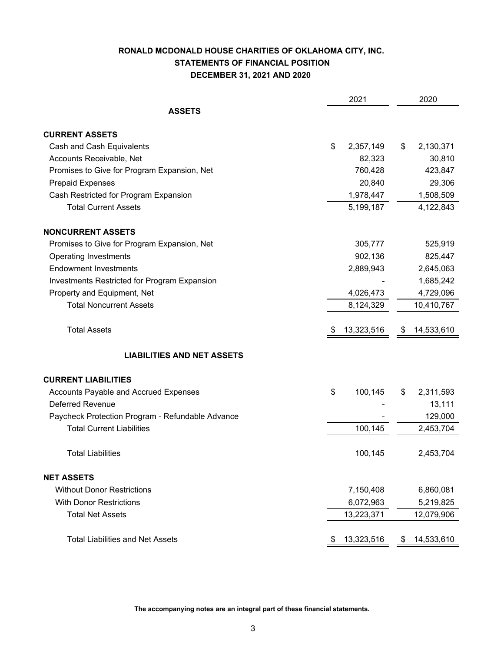# **DECEMBER 31, 2021 AND 2020 RONALD MCDONALD HOUSE CHARITIES OF OKLAHOMA CITY, INC. STATEMENTS OF FINANCIAL POSITION**

|                                                  | 2021 |            |     | 2020       |  |  |
|--------------------------------------------------|------|------------|-----|------------|--|--|
| <b>ASSETS</b>                                    |      |            |     |            |  |  |
| <b>CURRENT ASSETS</b>                            |      |            |     |            |  |  |
| Cash and Cash Equivalents                        | \$   | 2,357,149  | \$  | 2,130,371  |  |  |
| Accounts Receivable, Net                         |      | 82,323     |     | 30,810     |  |  |
| Promises to Give for Program Expansion, Net      |      | 760,428    |     | 423,847    |  |  |
| <b>Prepaid Expenses</b>                          |      | 20,840     |     | 29,306     |  |  |
| Cash Restricted for Program Expansion            |      | 1,978,447  |     | 1,508,509  |  |  |
| <b>Total Current Assets</b>                      |      | 5,199,187  |     | 4,122,843  |  |  |
| <b>NONCURRENT ASSETS</b>                         |      |            |     |            |  |  |
| Promises to Give for Program Expansion, Net      |      | 305,777    |     | 525,919    |  |  |
| <b>Operating Investments</b>                     |      | 902,136    |     | 825,447    |  |  |
| <b>Endowment Investments</b>                     |      | 2,889,943  |     | 2,645,063  |  |  |
| Investments Restricted for Program Expansion     |      |            |     | 1,685,242  |  |  |
| Property and Equipment, Net                      |      | 4,026,473  |     | 4,729,096  |  |  |
| <b>Total Noncurrent Assets</b>                   |      | 8,124,329  |     | 10,410,767 |  |  |
| <b>Total Assets</b>                              |      | 13,323,516 | \$  | 14,533,610 |  |  |
| <b>LIABILITIES AND NET ASSETS</b>                |      |            |     |            |  |  |
| <b>CURRENT LIABILITIES</b>                       |      |            |     |            |  |  |
| Accounts Payable and Accrued Expenses            | \$   | 100,145    | \$  | 2,311,593  |  |  |
| <b>Deferred Revenue</b>                          |      |            |     | 13,111     |  |  |
| Paycheck Protection Program - Refundable Advance |      |            |     | 129,000    |  |  |
| <b>Total Current Liabilities</b>                 |      | 100,145    |     | 2,453,704  |  |  |
| <b>Total Liabilities</b>                         |      | 100,145    |     | 2,453,704  |  |  |
| <b>NET ASSETS</b>                                |      |            |     |            |  |  |
| <b>Without Donor Restrictions</b>                |      | 7,150,408  |     | 6,860,081  |  |  |
| <b>With Donor Restrictions</b>                   |      | 6,072,963  |     | 5,219,825  |  |  |
| <b>Total Net Assets</b>                          |      | 13,223,371 |     | 12,079,906 |  |  |
| <b>Total Liabilities and Net Assets</b>          |      | 13,323,516 | \$. | 14,533,610 |  |  |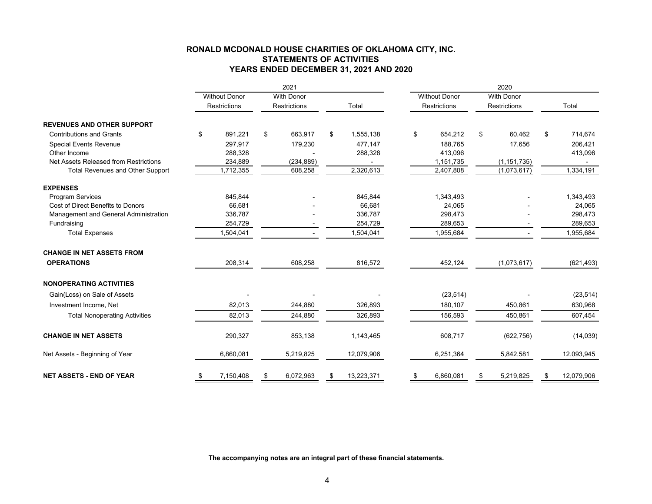#### **RONALD MCDONALD HOUSE CHARITIES OF OKLAHOMA CITY, INC. STATEMENTS OF ACTIVITIESYEARS ENDED DECEMBER 31, 2021 AND 2020**

|                                         |                      | 2021                     |                  | 2020 |                      |    |                   |    |            |  |
|-----------------------------------------|----------------------|--------------------------|------------------|------|----------------------|----|-------------------|----|------------|--|
|                                         | <b>Without Donor</b> | <b>With Donor</b>        |                  |      | <b>Without Donor</b> |    | <b>With Donor</b> |    |            |  |
|                                         | Restrictions         | Restrictions             | Total            |      | Restrictions         |    | Restrictions      |    | Total      |  |
| <b>REVENUES AND OTHER SUPPORT</b>       |                      |                          |                  |      |                      |    |                   |    |            |  |
| <b>Contributions and Grants</b>         | \$<br>891,221        | \$<br>663,917            | \$<br>1,555,138  | \$   | 654,212              | \$ | 60,462            | \$ | 714,674    |  |
| Special Events Revenue                  | 297,917              | 179,230                  | 477,147          |      | 188,765              |    | 17,656            |    | 206,421    |  |
| Other Income                            | 288,328              |                          | 288,328          |      | 413,096              |    |                   |    | 413,096    |  |
| Net Assets Released from Restrictions   | 234,889              | (234, 889)               |                  |      | 1,151,735            |    | (1, 151, 735)     |    |            |  |
| <b>Total Revenues and Other Support</b> | 1,712,355            | 608,258                  | 2,320,613        |      | 2,407,808            |    | (1,073,617)       |    | 1,334,191  |  |
| <b>EXPENSES</b>                         |                      |                          |                  |      |                      |    |                   |    |            |  |
| <b>Program Services</b>                 | 845,844              |                          | 845,844          |      | 1,343,493            |    |                   |    | 1,343,493  |  |
| Cost of Direct Benefits to Donors       | 66,681               |                          | 66,681           |      | 24,065               |    |                   |    | 24,065     |  |
| Management and General Administration   | 336,787              |                          | 336,787          |      | 298,473              |    |                   |    | 298,473    |  |
| Fundraising                             | 254,729              |                          | 254,729          |      | 289,653              |    |                   |    | 289,653    |  |
| <b>Total Expenses</b>                   | 1,504,041            | $\overline{\phantom{a}}$ | 1,504,041        |      | 1,955,684            |    |                   |    | 1,955,684  |  |
| <b>CHANGE IN NET ASSETS FROM</b>        |                      |                          |                  |      |                      |    |                   |    |            |  |
| <b>OPERATIONS</b>                       | 208,314              | 608,258                  | 816,572          |      | 452,124              |    | (1,073,617)       |    | (621, 493) |  |
| <b>NONOPERATING ACTIVITIES</b>          |                      |                          |                  |      |                      |    |                   |    |            |  |
| Gain(Loss) on Sale of Assets            |                      |                          |                  |      | (23, 514)            |    |                   |    | (23, 514)  |  |
| Investment Income, Net                  | 82,013               | 244,880                  | 326,893          |      | 180,107              |    | 450,861           |    | 630,968    |  |
| <b>Total Nonoperating Activities</b>    | 82,013               | 244,880                  | 326,893          |      | 156,593              |    | 450,861           |    | 607,454    |  |
| <b>CHANGE IN NET ASSETS</b>             | 290,327              | 853,138                  | 1,143,465        |      | 608,717              |    | (622, 756)        |    | (14, 039)  |  |
| Net Assets - Beginning of Year          | 6,860,081            | 5,219,825                | 12,079,906       |      | 6,251,364            |    | 5,842,581         |    | 12,093,945 |  |
| <b>NET ASSETS - END OF YEAR</b>         | \$<br>7,150,408      | \$<br>6,072,963          | \$<br>13,223,371 | \$   | 6,860,081            | \$ | 5,219,825         | \$ | 12,079,906 |  |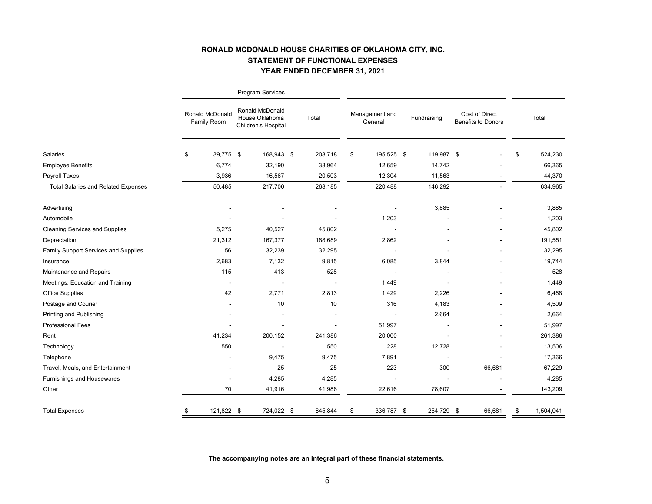### **STATEMENT OF FUNCTIONAL EXPENSES YEAR ENDED DECEMBER 31, 2021 RONALD MCDONALD HOUSE CHARITIES OF OKLAHOMA CITY, INC.**

|                                            |                                | <b>Program Services</b>                                  |         |                           |             |                                             |                 |
|--------------------------------------------|--------------------------------|----------------------------------------------------------|---------|---------------------------|-------------|---------------------------------------------|-----------------|
|                                            | Ronald McDonald<br>Family Room | Ronald McDonald<br>House Oklahoma<br>Children's Hospital | Total   | Management and<br>General | Fundraising | Cost of Direct<br><b>Benefits to Donors</b> | Total           |
| Salaries                                   | \$<br>39,775 \$                | 168,943 \$                                               | 208,718 | \$<br>195,525 \$          | 119,987 \$  |                                             | \$<br>524,230   |
| <b>Employee Benefits</b>                   | 6,774                          | 32,190                                                   | 38,964  | 12,659                    | 14,742      |                                             | 66,365          |
| Payroll Taxes                              | 3,936                          | 16,567                                                   | 20,503  | 12,304                    | 11,563      |                                             | 44,370          |
| <b>Total Salaries and Related Expenses</b> | 50,485                         | 217,700                                                  | 268,185 | 220,488                   | 146,292     |                                             | 634,965         |
| Advertising                                | $\blacksquare$                 |                                                          |         | $\blacksquare$            | 3,885       |                                             | 3,885           |
| Automobile                                 |                                |                                                          |         | 1,203                     |             |                                             | 1,203           |
| <b>Cleaning Services and Supplies</b>      | 5,275                          | 40,527                                                   | 45,802  |                           |             |                                             | 45,802          |
| Depreciation                               | 21,312                         | 167,377                                                  | 188,689 | 2,862                     |             |                                             | 191,551         |
| Family Support Services and Supplies       | 56                             | 32,239                                                   | 32,295  |                           |             |                                             | 32,295          |
| Insurance                                  | 2,683                          | 7,132                                                    | 9,815   | 6,085                     | 3,844       |                                             | 19,744          |
| Maintenance and Repairs                    | 115                            | 413                                                      | 528     |                           |             |                                             | 528             |
| Meetings, Education and Training           |                                |                                                          |         | 1,449                     |             |                                             | 1,449           |
| <b>Office Supplies</b>                     | 42                             | 2,771                                                    | 2,813   | 1,429                     | 2,226       |                                             | 6,468           |
| Postage and Courier                        |                                | 10                                                       | 10      | 316                       | 4,183       |                                             | 4,509           |
| Printing and Publishing                    |                                |                                                          |         |                           | 2,664       |                                             | 2,664           |
| <b>Professional Fees</b>                   |                                |                                                          |         | 51,997                    |             |                                             | 51,997          |
| Rent                                       | 41,234                         | 200,152                                                  | 241,386 | 20,000                    |             |                                             | 261,386         |
| Technology                                 | 550                            | $\blacksquare$                                           | 550     | 228                       | 12,728      |                                             | 13,506          |
| Telephone                                  | $\overline{\phantom{a}}$       | 9,475                                                    | 9,475   | 7,891                     |             |                                             | 17,366          |
| Travel, Meals, and Entertainment           |                                | 25                                                       | 25      | 223                       | 300         | 66,681                                      | 67,229          |
| Furnishings and Housewares                 |                                | 4,285                                                    | 4,285   |                           |             |                                             | 4,285           |
| Other                                      | 70                             | 41,916                                                   | 41,986  | 22,616                    | 78,607      |                                             | 143,209         |
| <b>Total Expenses</b>                      | 121,822 \$<br>\$               | 724,022 \$                                               | 845,844 | 336,787 \$<br>\$          | 254,729 \$  | 66,681                                      | \$<br>1,504,041 |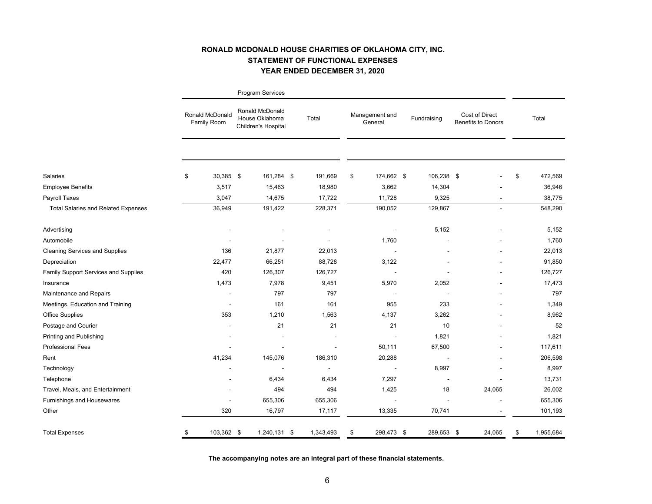### **STATEMENT OF FUNCTIONAL EXPENSES RONALD MCDONALD HOUSE CHARITIES OF OKLAHOMA CITY, INC. YEAR ENDED DECEMBER 31, 2020**

|                                            |                                | <b>Program Services</b> |                                                          |                |                           |                          |             |                                             |                |                 |
|--------------------------------------------|--------------------------------|-------------------------|----------------------------------------------------------|----------------|---------------------------|--------------------------|-------------|---------------------------------------------|----------------|-----------------|
|                                            | Ronald McDonald<br>Family Room |                         | Ronald McDonald<br>House Oklahoma<br>Children's Hospital | Total          | Management and<br>General |                          | Fundraising | Cost of Direct<br><b>Benefits to Donors</b> |                | Total           |
|                                            |                                |                         |                                                          |                |                           |                          |             |                                             |                |                 |
| Salaries                                   | \$<br>30,385 \$                |                         | 161,284 \$                                               | 191,669        | \$                        | 174,662 \$               | 106,238 \$  |                                             |                | \$<br>472,569   |
| <b>Employee Benefits</b>                   | 3,517                          | 15,463                  |                                                          | 18,980         |                           | 3,662                    | 14,304      |                                             |                | 36,946          |
| Payroll Taxes                              | 3,047                          | 14,675                  |                                                          | 17,722         |                           | 11,728                   | 9,325       |                                             | $\blacksquare$ | 38,775          |
| <b>Total Salaries and Related Expenses</b> | 36,949                         | 191,422                 |                                                          | 228,371        |                           | 190,052                  | 129,867     |                                             | $\sim$         | 548,290         |
| Advertising                                |                                |                         |                                                          |                |                           |                          | 5,152       |                                             |                | 5,152           |
| Automobile                                 |                                |                         |                                                          |                |                           | 1,760                    |             |                                             |                | 1,760           |
| <b>Cleaning Services and Supplies</b>      | 136                            | 21,877                  |                                                          | 22,013         |                           | $\overline{\phantom{a}}$ |             |                                             |                | 22,013          |
| Depreciation                               | 22,477                         | 66,251                  |                                                          | 88,728         |                           | 3,122                    |             |                                             |                | 91,850          |
| Family Support Services and Supplies       | 420                            | 126,307                 |                                                          | 126,727        |                           |                          |             |                                             |                | 126,727         |
| Insurance                                  | 1,473                          |                         | 7,978                                                    | 9,451          |                           | 5,970                    | 2,052       |                                             |                | 17,473          |
| Maintenance and Repairs                    |                                |                         | 797                                                      | 797            |                           |                          |             |                                             |                | 797             |
| Meetings, Education and Training           |                                |                         | 161                                                      | 161            |                           | 955                      | 233         |                                             |                | 1,349           |
| <b>Office Supplies</b>                     | 353                            |                         | 1,210                                                    | 1,563          |                           | 4,137                    | 3,262       |                                             |                | 8,962           |
| Postage and Courier                        |                                |                         | 21                                                       | 21             |                           | 21                       | 10          |                                             |                | 52              |
| Printing and Publishing                    | $\overline{\phantom{a}}$       |                         | $\overline{\phantom{a}}$                                 |                |                           | $\blacksquare$           | 1,821       |                                             |                | 1,821           |
| <b>Professional Fees</b>                   |                                |                         |                                                          |                |                           | 50,111                   | 67,500      |                                             |                | 117,611         |
| Rent                                       | 41,234                         | 145,076                 |                                                          | 186,310        |                           | 20,288                   |             |                                             |                | 206,598         |
| Technology                                 |                                |                         |                                                          | $\blacksquare$ |                           |                          | 8,997       |                                             |                | 8,997           |
| Telephone                                  |                                |                         | 6,434                                                    | 6,434          |                           | 7,297                    |             |                                             |                | 13,731          |
| Travel, Meals, and Entertainment           |                                |                         | 494                                                      | 494            |                           | 1,425                    | 18          | 24,065                                      |                | 26,002          |
| Furnishings and Housewares                 |                                | 655,306                 |                                                          | 655,306        |                           |                          |             |                                             |                | 655,306         |
| Other                                      | 320                            | 16,797                  |                                                          | 17,117         |                           | 13,335                   | 70,741      |                                             |                | 101,193         |
| <b>Total Expenses</b>                      | \$<br>103,362 \$               | 1,240,131 \$            |                                                          | 1,343,493      | \$                        | 298,473 \$               | 289,653 \$  | 24,065                                      |                | \$<br>1,955,684 |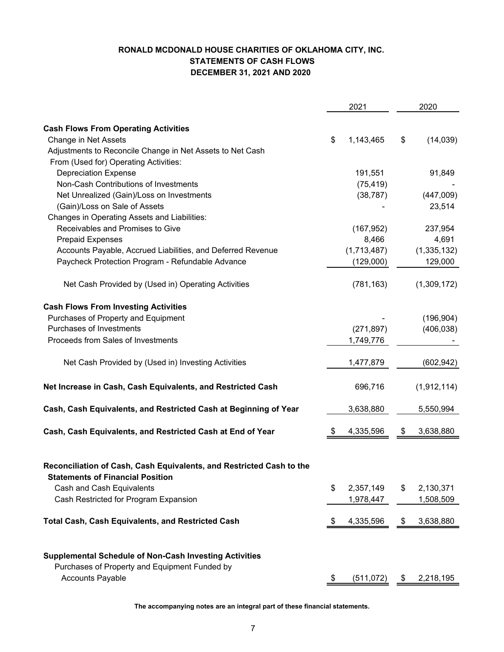# **DECEMBER 31, 2021 AND 2020 RONALD MCDONALD HOUSE CHARITIES OF OKLAHOMA CITY, INC. STATEMENTS OF CASH FLOWS**

|                                                                                                                 |    | 2021        | 2020            |
|-----------------------------------------------------------------------------------------------------------------|----|-------------|-----------------|
|                                                                                                                 |    |             |                 |
| <b>Cash Flows From Operating Activities</b><br>Change in Net Assets                                             | \$ | 1,143,465   | \$<br>(14, 039) |
| Adjustments to Reconcile Change in Net Assets to Net Cash                                                       |    |             |                 |
| From (Used for) Operating Activities:                                                                           |    |             |                 |
| <b>Depreciation Expense</b>                                                                                     |    | 191,551     | 91,849          |
| Non-Cash Contributions of Investments                                                                           |    | (75, 419)   |                 |
| Net Unrealized (Gain)/Loss on Investments                                                                       |    | (38, 787)   | (447,009)       |
| (Gain)/Loss on Sale of Assets                                                                                   |    |             | 23,514          |
| <b>Changes in Operating Assets and Liabilities:</b>                                                             |    |             |                 |
| Receivables and Promises to Give                                                                                |    | (167, 952)  | 237,954         |
| <b>Prepaid Expenses</b>                                                                                         |    | 8,466       | 4,691           |
| Accounts Payable, Accrued Liabilities, and Deferred Revenue                                                     |    | (1,713,487) | (1, 335, 132)   |
| Paycheck Protection Program - Refundable Advance                                                                |    | (129,000)   | 129,000         |
|                                                                                                                 |    |             |                 |
| Net Cash Provided by (Used in) Operating Activities                                                             |    | (781, 163)  | (1,309,172)     |
| <b>Cash Flows From Investing Activities</b>                                                                     |    |             |                 |
| Purchases of Property and Equipment                                                                             |    |             | (196, 904)      |
| Purchases of Investments                                                                                        |    | (271, 897)  | (406, 038)      |
| Proceeds from Sales of Investments                                                                              |    | 1,749,776   |                 |
| Net Cash Provided by (Used in) Investing Activities                                                             |    | 1,477,879   | (602, 942)      |
| Net Increase in Cash, Cash Equivalents, and Restricted Cash                                                     |    | 696,716     | (1,912,114)     |
| Cash, Cash Equivalents, and Restricted Cash at Beginning of Year                                                |    | 3,638,880   | 5,550,994       |
| Cash, Cash Equivalents, and Restricted Cash at End of Year                                                      | \$ | 4,335,596   | \$<br>3,638,880 |
| Reconciliation of Cash, Cash Equivalents, and Restricted Cash to the<br><b>Statements of Financial Position</b> |    |             |                 |
|                                                                                                                 | \$ | 2,357,149   |                 |
| Cash and Cash Equivalents                                                                                       |    |             | \$<br>2,130,371 |
| Cash Restricted for Program Expansion                                                                           |    | 1,978,447   | 1,508,509       |
| <b>Total Cash, Cash Equivalents, and Restricted Cash</b>                                                        | \$ | 4,335,596   | \$<br>3,638,880 |
| <b>Supplemental Schedule of Non-Cash Investing Activities</b>                                                   |    |             |                 |
| Purchases of Property and Equipment Funded by                                                                   |    |             |                 |
| <b>Accounts Payable</b>                                                                                         | P. | (511, 072)  | \$<br>2,218,195 |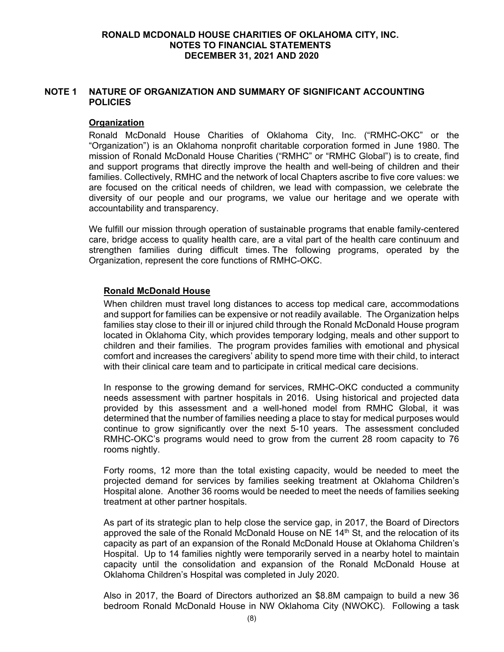### **NOTE 1 NATURE OF ORGANIZATION AND SUMMARY OF SIGNIFICANT ACCOUNTING POLICIES**

### **Organization**

Ronald McDonald House Charities of Oklahoma City, Inc. ("RMHC-OKC" or the "Organization") is an Oklahoma nonprofit charitable corporation formed in June 1980. The mission of Ronald McDonald House Charities ("RMHC" or "RMHC Global") is to create, find and support programs that directly improve the health and well-being of children and their families. Collectively, RMHC and the network of local Chapters ascribe to five core values: we are focused on the critical needs of children, we lead with compassion, we celebrate the diversity of our people and our programs, we value our heritage and we operate with accountability and transparency.

We fulfill our mission through operation of sustainable programs that enable family-centered care, bridge access to quality health care, are a vital part of the health care continuum and strengthen families during difficult times. The following programs, operated by the Organization, represent the core functions of RMHC-OKC.

#### **Ronald McDonald House**

When children must travel long distances to access top medical care, accommodations and support for families can be expensive or not readily available. The Organization helps families stay close to their ill or injured child through the Ronald McDonald House program located in Oklahoma City, which provides temporary lodging, meals and other support to children and their families. The program provides families with emotional and physical comfort and increases the caregivers' ability to spend more time with their child, to interact with their clinical care team and to participate in critical medical care decisions.

In response to the growing demand for services, RMHC-OKC conducted a community needs assessment with partner hospitals in 2016. Using historical and projected data provided by this assessment and a well-honed model from RMHC Global, it was determined that the number of families needing a place to stay for medical purposes would continue to grow significantly over the next 5-10 years. The assessment concluded RMHC-OKC's programs would need to grow from the current 28 room capacity to 76 rooms nightly.

Forty rooms, 12 more than the total existing capacity, would be needed to meet the projected demand for services by families seeking treatment at Oklahoma Children's Hospital alone. Another 36 rooms would be needed to meet the needs of families seeking treatment at other partner hospitals.

As part of its strategic plan to help close the service gap, in 2017, the Board of Directors approved the sale of the Ronald McDonald House on NE  $14<sup>th</sup>$  St, and the relocation of its capacity as part of an expansion of the Ronald McDonald House at Oklahoma Children's Hospital. Up to 14 families nightly were temporarily served in a nearby hotel to maintain capacity until the consolidation and expansion of the Ronald McDonald House at Oklahoma Children's Hospital was completed in July 2020.

Also in 2017, the Board of Directors authorized an \$8.8M campaign to build a new 36 bedroom Ronald McDonald House in NW Oklahoma City (NWOKC). Following a task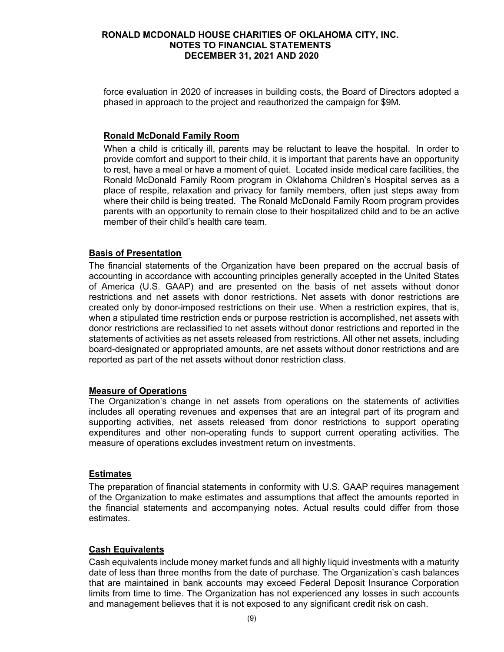force evaluation in 2020 of increases in building costs, the Board of Directors adopted a phased in approach to the project and reauthorized the campaign for \$9M.

### **Ronald McDonald Family Room**

When a child is critically ill, parents may be reluctant to leave the hospital. In order to provide comfort and support to their child, it is important that parents have an opportunity to rest, have a meal or have a moment of quiet. Located inside medical care facilities, the Ronald McDonald Family Room program in Oklahoma Children's Hospital serves as a place of respite, relaxation and privacy for family members, often just steps away from where their child is being treated. The Ronald McDonald Family Room program provides parents with an opportunity to remain close to their hospitalized child and to be an active member of their child's health care team.

# **Basis of Presentation**

The financial statements of the Organization have been prepared on the accrual basis of accounting in accordance with accounting principles generally accepted in the United States of America (U.S. GAAP) and are presented on the basis of net assets without donor restrictions and net assets with donor restrictions. Net assets with donor restrictions are created only by donor-imposed restrictions on their use. When a restriction expires, that is, when a stipulated time restriction ends or purpose restriction is accomplished, net assets with donor restrictions are reclassified to net assets without donor restrictions and reported in the statements of activities as net assets released from restrictions. All other net assets, including board-designated or appropriated amounts, are net assets without donor restrictions and are reported as part of the net assets without donor restriction class.

# **Measure of Operations**

The Organization's change in net assets from operations on the statements of activities includes all operating revenues and expenses that are an integral part of its program and supporting activities, net assets released from donor restrictions to support operating expenditures and other non-operating funds to support current operating activities. The measure of operations excludes investment return on investments.

# **Estimates**

The preparation of financial statements in conformity with U.S. GAAP requires management of the Organization to make estimates and assumptions that affect the amounts reported in the financial statements and accompanying notes. Actual results could differ from those estimates.

# **Cash Equivalents**

Cash equivalents include money market funds and all highly liquid investments with a maturity date of less than three months from the date of purchase. The Organization's cash balances that are maintained in bank accounts may exceed Federal Deposit Insurance Corporation limits from time to time. The Organization has not experienced any losses in such accounts and management believes that it is not exposed to any significant credit risk on cash.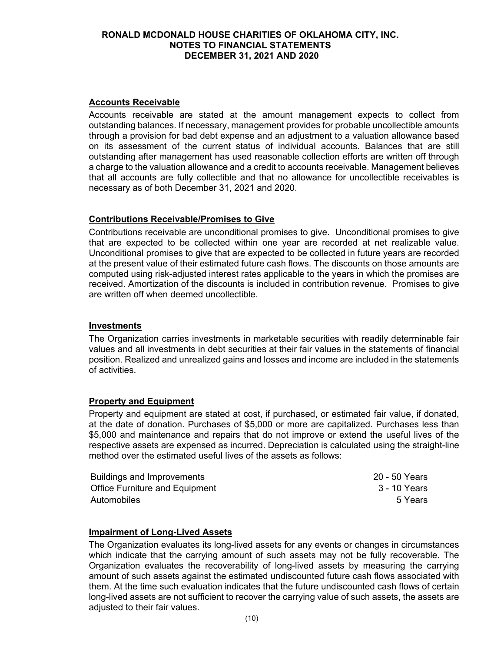### **Accounts Receivable**

Accounts receivable are stated at the amount management expects to collect from outstanding balances. If necessary, management provides for probable uncollectible amounts through a provision for bad debt expense and an adjustment to a valuation allowance based on its assessment of the current status of individual accounts. Balances that are still outstanding after management has used reasonable collection efforts are written off through a charge to the valuation allowance and a credit to accounts receivable. Management believes that all accounts are fully collectible and that no allowance for uncollectible receivables is necessary as of both December 31, 2021 and 2020.

# **Contributions Receivable/Promises to Give**

Contributions receivable are unconditional promises to give. Unconditional promises to give that are expected to be collected within one year are recorded at net realizable value. Unconditional promises to give that are expected to be collected in future years are recorded at the present value of their estimated future cash flows. The discounts on those amounts are computed using risk-adjusted interest rates applicable to the years in which the promises are received. Amortization of the discounts is included in contribution revenue. Promises to give are written off when deemed uncollectible.

### **Investments**

The Organization carries investments in marketable securities with readily determinable fair values and all investments in debt securities at their fair values in the statements of financial position. Realized and unrealized gains and losses and income are included in the statements of activities.

#### **Property and Equipment**

Property and equipment are stated at cost, if purchased, or estimated fair value, if donated, at the date of donation. Purchases of \$5,000 or more are capitalized. Purchases less than \$5,000 and maintenance and repairs that do not improve or extend the useful lives of the respective assets are expensed as incurred. Depreciation is calculated using the straight-line method over the estimated useful lives of the assets as follows:

| <b>Buildings and Improvements</b>     | 20 - 50 Years |
|---------------------------------------|---------------|
| <b>Office Furniture and Equipment</b> | 3 - 10 Years  |
| Automobiles                           | 5 Years       |

# **Impairment of Long-Lived Assets**

The Organization evaluates its long-lived assets for any events or changes in circumstances which indicate that the carrying amount of such assets may not be fully recoverable. The Organization evaluates the recoverability of long-lived assets by measuring the carrying amount of such assets against the estimated undiscounted future cash flows associated with them. At the time such evaluation indicates that the future undiscounted cash flows of certain long-lived assets are not sufficient to recover the carrying value of such assets, the assets are adjusted to their fair values.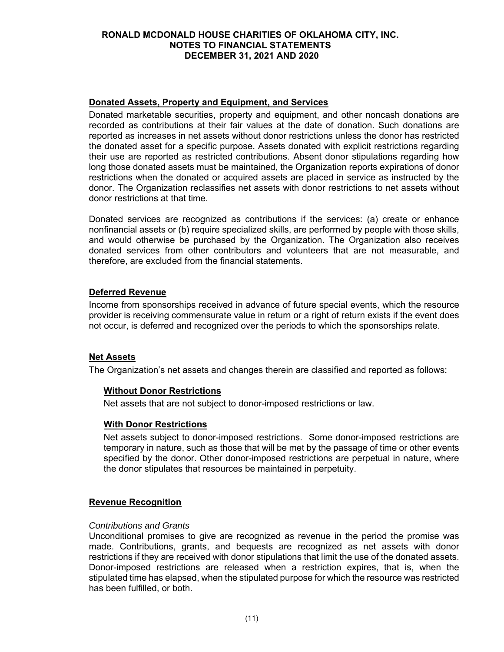# **Donated Assets, Property and Equipment, and Services**

Donated marketable securities, property and equipment, and other noncash donations are recorded as contributions at their fair values at the date of donation. Such donations are reported as increases in net assets without donor restrictions unless the donor has restricted the donated asset for a specific purpose. Assets donated with explicit restrictions regarding their use are reported as restricted contributions. Absent donor stipulations regarding how long those donated assets must be maintained, the Organization reports expirations of donor restrictions when the donated or acquired assets are placed in service as instructed by the donor. The Organization reclassifies net assets with donor restrictions to net assets without donor restrictions at that time.

Donated services are recognized as contributions if the services: (a) create or enhance nonfinancial assets or (b) require specialized skills, are performed by people with those skills, and would otherwise be purchased by the Organization. The Organization also receives donated services from other contributors and volunteers that are not measurable, and therefore, are excluded from the financial statements.

### **Deferred Revenue**

Income from sponsorships received in advance of future special events, which the resource provider is receiving commensurate value in return or a right of return exists if the event does not occur, is deferred and recognized over the periods to which the sponsorships relate.

#### **Net Assets**

The Organization's net assets and changes therein are classified and reported as follows:

#### **Without Donor Restrictions**

Net assets that are not subject to donor-imposed restrictions or law.

#### **With Donor Restrictions**

Net assets subject to donor-imposed restrictions. Some donor-imposed restrictions are temporary in nature, such as those that will be met by the passage of time or other events specified by the donor. Other donor-imposed restrictions are perpetual in nature, where the donor stipulates that resources be maintained in perpetuity.

#### **Revenue Recognition**

#### *Contributions and Grants*

Unconditional promises to give are recognized as revenue in the period the promise was made. Contributions, grants, and bequests are recognized as net assets with donor restrictions if they are received with donor stipulations that limit the use of the donated assets. Donor-imposed restrictions are released when a restriction expires, that is, when the stipulated time has elapsed, when the stipulated purpose for which the resource was restricted has been fulfilled, or both.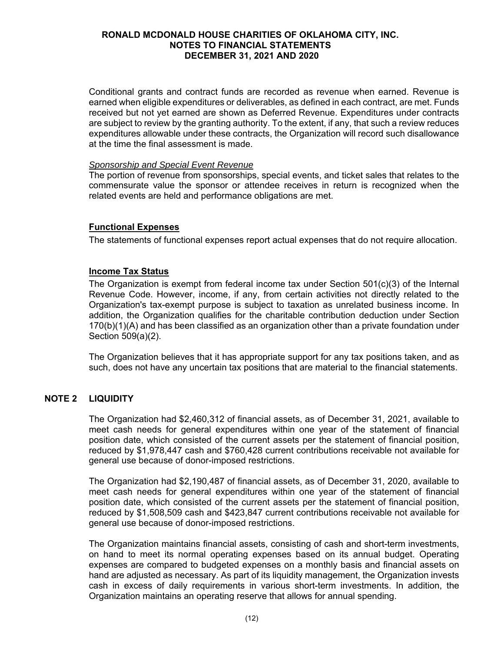Conditional grants and contract funds are recorded as revenue when earned. Revenue is earned when eligible expenditures or deliverables, as defined in each contract, are met. Funds received but not yet earned are shown as Deferred Revenue. Expenditures under contracts are subject to review by the granting authority. To the extent, if any, that such a review reduces expenditures allowable under these contracts, the Organization will record such disallowance at the time the final assessment is made.

### *Sponsorship and Special Event Revenue*

The portion of revenue from sponsorships, special events, and ticket sales that relates to the commensurate value the sponsor or attendee receives in return is recognized when the related events are held and performance obligations are met.

# **Functional Expenses**

The statements of functional expenses report actual expenses that do not require allocation.

# **Income Tax Status**

The Organization is exempt from federal income tax under Section  $501(c)(3)$  of the Internal Revenue Code. However, income, if any, from certain activities not directly related to the Organization's tax-exempt purpose is subject to taxation as unrelated business income. In addition, the Organization qualifies for the charitable contribution deduction under Section 170(b)(1)(A) and has been classified as an organization other than a private foundation under Section 509(a)(2).

The Organization believes that it has appropriate support for any tax positions taken, and as such, does not have any uncertain tax positions that are material to the financial statements.

# **NOTE 2 LIQUIDITY**

The Organization had \$2,460,312 of financial assets, as of December 31, 2021, available to meet cash needs for general expenditures within one year of the statement of financial position date, which consisted of the current assets per the statement of financial position, reduced by \$1,978,447 cash and \$760,428 current contributions receivable not available for general use because of donor-imposed restrictions.

The Organization had \$2,190,487 of financial assets, as of December 31, 2020, available to meet cash needs for general expenditures within one year of the statement of financial position date, which consisted of the current assets per the statement of financial position, reduced by \$1,508,509 cash and \$423,847 current contributions receivable not available for general use because of donor-imposed restrictions.

The Organization maintains financial assets, consisting of cash and short-term investments, on hand to meet its normal operating expenses based on its annual budget. Operating expenses are compared to budgeted expenses on a monthly basis and financial assets on hand are adjusted as necessary. As part of its liquidity management, the Organization invests cash in excess of daily requirements in various short-term investments. In addition, the Organization maintains an operating reserve that allows for annual spending.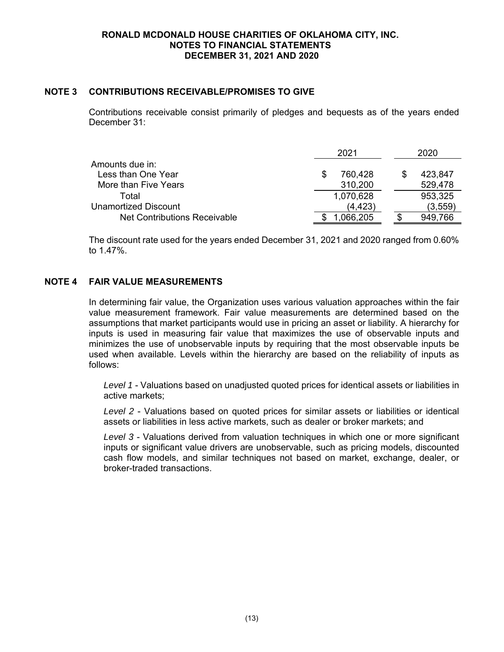# **NOTE 3 CONTRIBUTIONS RECEIVABLE/PROMISES TO GIVE**

Contributions receivable consist primarily of pledges and bequests as of the years ended December 31:

|                                     | 2021      | 2020    |  |
|-------------------------------------|-----------|---------|--|
| Amounts due in:                     |           |         |  |
| Less than One Year                  | 760,428   | 423,847 |  |
| More than Five Years                | 310,200   | 529,478 |  |
| Total                               | 1,070,628 | 953,325 |  |
| Unamortized Discount                | (4, 423)  | (3,559) |  |
| <b>Net Contributions Receivable</b> | 1,066,205 | 949,766 |  |

The discount rate used for the years ended December 31, 2021 and 2020 ranged from 0.60% to 1.47%.

### **NOTE 4 FAIR VALUE MEASUREMENTS**

In determining fair value, the Organization uses various valuation approaches within the fair value measurement framework. Fair value measurements are determined based on the assumptions that market participants would use in pricing an asset or liability. A hierarchy for inputs is used in measuring fair value that maximizes the use of observable inputs and minimizes the use of unobservable inputs by requiring that the most observable inputs be used when available. Levels within the hierarchy are based on the reliability of inputs as follows:

*Level 1* - Valuations based on unadjusted quoted prices for identical assets or liabilities in active markets;

*Level 2* - Valuations based on quoted prices for similar assets or liabilities or identical assets or liabilities in less active markets, such as dealer or broker markets; and

*Level 3* - Valuations derived from valuation techniques in which one or more significant inputs or significant value drivers are unobservable, such as pricing models, discounted cash flow models, and similar techniques not based on market, exchange, dealer, or broker-traded transactions.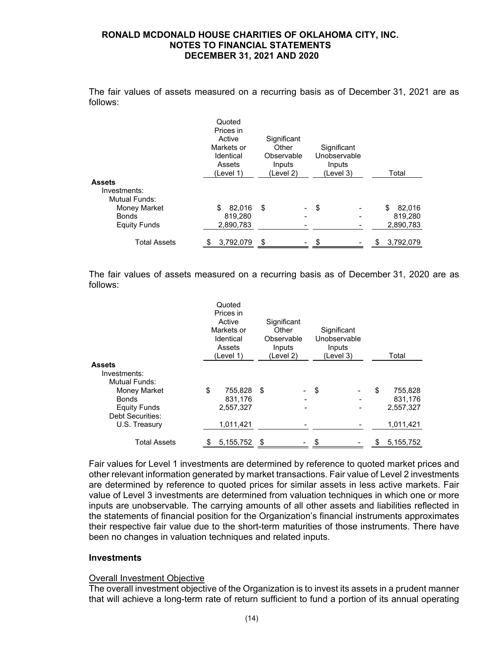The fair values of assets measured on a recurring basis as of December 31, 2021 are as follows:

|                     | Quoted<br>Prices in<br>Active<br>Markets or<br>Identical<br>Assets<br>(Level 1) | Significant<br>Other<br>Observable<br>Inputs<br>(Level 2) | Significant<br>Unobservable<br>Inputs<br>(Level 3) | Total          |
|---------------------|---------------------------------------------------------------------------------|-----------------------------------------------------------|----------------------------------------------------|----------------|
| <b>Assets</b>       |                                                                                 |                                                           |                                                    |                |
| Investments:        |                                                                                 |                                                           |                                                    |                |
| Mutual Funds:       |                                                                                 |                                                           |                                                    |                |
| <b>Money Market</b> | \$<br>82.016                                                                    | \$<br>$\overline{\phantom{a}}$                            | \$                                                 | \$<br>82,016   |
| <b>Bonds</b>        | 819,280                                                                         | $\overline{\phantom{0}}$                                  |                                                    | 819,280        |
| <b>Equity Funds</b> | 2.890.783                                                                       |                                                           |                                                    | 2,890,783      |
| <b>Total Assets</b> | 3,792,079                                                                       | \$                                                        | \$                                                 | 3,792,079<br>S |

The fair values of assets measured on a recurring basis as of December 31, 2020 are as follows:

|                     | Quoted<br>Prices in<br>Active<br>Markets or<br>Identical<br>Assets<br>(Level 1) |     | Significant<br>Other<br>Observable<br>Inputs<br>(Level 2) | Significant<br>Unobservable<br>Inputs<br>(Level 3) | Total           |
|---------------------|---------------------------------------------------------------------------------|-----|-----------------------------------------------------------|----------------------------------------------------|-----------------|
| <b>Assets</b>       |                                                                                 |     |                                                           |                                                    |                 |
| Investments:        |                                                                                 |     |                                                           |                                                    |                 |
| Mutual Funds:       |                                                                                 |     |                                                           |                                                    |                 |
| <b>Money Market</b> | \$<br>755,828                                                                   | -\$ |                                                           | \$                                                 | \$<br>755,828   |
| <b>Bonds</b>        | 831,176                                                                         |     |                                                           |                                                    | 831,176         |
| <b>Equity Funds</b> | 2,557,327                                                                       |     |                                                           |                                                    | 2,557,327       |
| Debt Securities:    |                                                                                 |     |                                                           |                                                    |                 |
| U.S. Treasury       | 1,011,421                                                                       |     |                                                           |                                                    | 1,011,421       |
|                     |                                                                                 |     |                                                           |                                                    |                 |
| <b>Total Assets</b> | 5,155,752                                                                       |     |                                                           | \$                                                 | \$<br>5,155,752 |
|                     |                                                                                 |     |                                                           |                                                    |                 |

Fair values for Level 1 investments are determined by reference to quoted market prices and other relevant information generated by market transactions. Fair value of Level 2 investments are determined by reference to quoted prices for similar assets in less active markets. Fair value of Level 3 investments are determined from valuation techniques in which one or more inputs are unobservable. The carrying amounts of all other assets and liabilities reflected in the statements of financial position for the Organization's financial instruments approximates their respective fair value due to the short-term maturities of those instruments. There have been no changes in valuation techniques and related inputs.

### **Investments**

#### **Overall Investment Objective**

The overall investment objective of the Organization is to invest its assets in a prudent manner that will achieve a long-term rate of return sufficient to fund a portion of its annual operating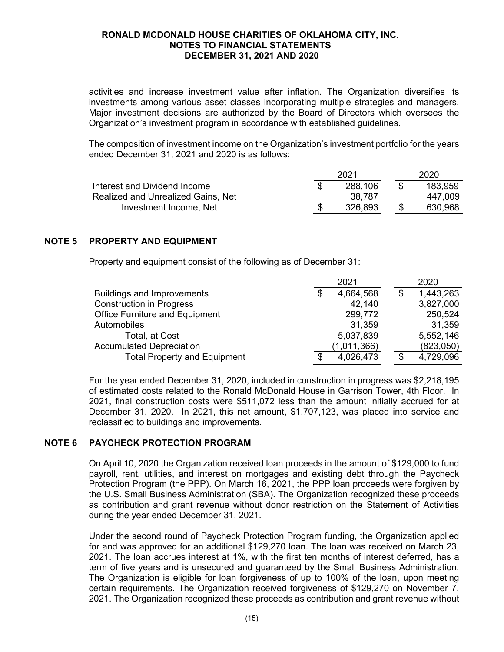activities and increase investment value after inflation. The Organization diversifies its investments among various asset classes incorporating multiple strategies and managers. Major investment decisions are authorized by the Board of Directors which oversees the Organization's investment program in accordance with established guidelines.

The composition of investment income on the Organization's investment portfolio for the years ended December 31, 2021 and 2020 is as follows:

|                                    | 2021    |    | 2020    |
|------------------------------------|---------|----|---------|
| Interest and Dividend Income       | 288,106 | \$ | 183,959 |
| Realized and Unrealized Gains, Net | 38,787  |    | 447,009 |
| Investment Income, Net             | 326,893 |    | 630,968 |

### **NOTE 5 PROPERTY AND EQUIPMENT**

Property and equipment consist of the following as of December 31:

|                                       | 2021 |             |  |    | 2020      |
|---------------------------------------|------|-------------|--|----|-----------|
| <b>Buildings and Improvements</b>     | \$   | 4,664,568   |  | \$ | 1,443,263 |
| <b>Construction in Progress</b>       |      | 42,140      |  |    | 3,827,000 |
| <b>Office Furniture and Equipment</b> |      | 299,772     |  |    | 250,524   |
| Automobiles                           |      | 31,359      |  |    | 31,359    |
| Total, at Cost                        |      | 5,037,839   |  |    | 5,552,146 |
| <b>Accumulated Depreciation</b>       |      | (1,011,366) |  |    | (823,050) |
| <b>Total Property and Equipment</b>   | S    | 4,026,473   |  | S  | 4,729,096 |

For the year ended December 31, 2020, included in construction in progress was \$2,218,195 of estimated costs related to the Ronald McDonald House in Garrison Tower, 4th Floor. In 2021, final construction costs were \$511,072 less than the amount initially accrued for at December 31, 2020. In 2021, this net amount, \$1,707,123, was placed into service and reclassified to buildings and improvements.

#### **NOTE 6 PAYCHECK PROTECTION PROGRAM**

On April 10, 2020 the Organization received loan proceeds in the amount of \$129,000 to fund payroll, rent, utilities, and interest on mortgages and existing debt through the Paycheck Protection Program (the PPP). On March 16, 2021, the PPP loan proceeds were forgiven by the U.S. Small Business Administration (SBA). The Organization recognized these proceeds as contribution and grant revenue without donor restriction on the Statement of Activities during the year ended December 31, 2021.

Under the second round of Paycheck Protection Program funding, the Organization applied for and was approved for an additional \$129,270 loan. The loan was received on March 23, 2021. The loan accrues interest at 1%, with the first ten months of interest deferred, has a term of five years and is unsecured and guaranteed by the Small Business Administration. The Organization is eligible for loan forgiveness of up to 100% of the loan, upon meeting certain requirements. The Organization received forgiveness of \$129,270 on November 7, 2021. The Organization recognized these proceeds as contribution and grant revenue without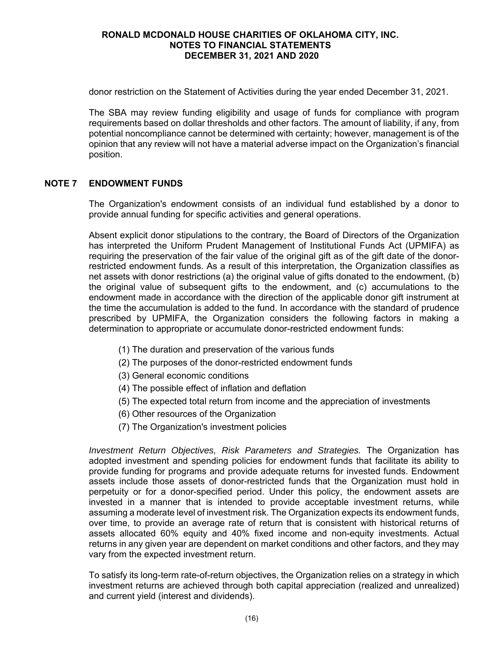donor restriction on the Statement of Activities during the year ended December 31, 2021.

The SBA may review funding eligibility and usage of funds for compliance with program requirements based on dollar thresholds and other factors. The amount of liability, if any, from potential noncompliance cannot be determined with certainty; however, management is of the opinion that any review will not have a material adverse impact on the Organization's financial position.

### **NOTE 7 ENDOWMENT FUNDS**

The Organization's endowment consists of an individual fund established by a donor to provide annual funding for specific activities and general operations.

Absent explicit donor stipulations to the contrary, the Board of Directors of the Organization has interpreted the Uniform Prudent Management of Institutional Funds Act (UPMIFA) as requiring the preservation of the fair value of the original gift as of the gift date of the donorrestricted endowment funds. As a result of this interpretation, the Organization classifies as net assets with donor restrictions (a) the original value of gifts donated to the endowment, (b) the original value of subsequent gifts to the endowment, and (c) accumulations to the endowment made in accordance with the direction of the applicable donor gift instrument at the time the accumulation is added to the fund. In accordance with the standard of prudence prescribed by UPMIFA, the Organization considers the following factors in making a determination to appropriate or accumulate donor-restricted endowment funds:

- (1) The duration and preservation of the various funds
- (2) The purposes of the donor-restricted endowment funds
- (3) General economic conditions
- (4) The possible effect of inflation and deflation
- (5) The expected total return from income and the appreciation of investments
- (6) Other resources of the Organization
- (7) The Organization's investment policies

*Investment Return Objectives, Risk Parameters and Strategies.* The Organization has adopted investment and spending policies for endowment funds that facilitate its ability to provide funding for programs and provide adequate returns for invested funds. Endowment assets include those assets of donor-restricted funds that the Organization must hold in perpetuity or for a donor-specified period. Under this policy, the endowment assets are invested in a manner that is intended to provide acceptable investment returns, while assuming a moderate level of investment risk. The Organization expects its endowment funds, over time, to provide an average rate of return that is consistent with historical returns of assets allocated 60% equity and 40% fixed income and non-equity investments. Actual returns in any given year are dependent on market conditions and other factors, and they may vary from the expected investment return.

To satisfy its long-term rate-of-return objectives, the Organization relies on a strategy in which investment returns are achieved through both capital appreciation (realized and unrealized) and current yield (interest and dividends).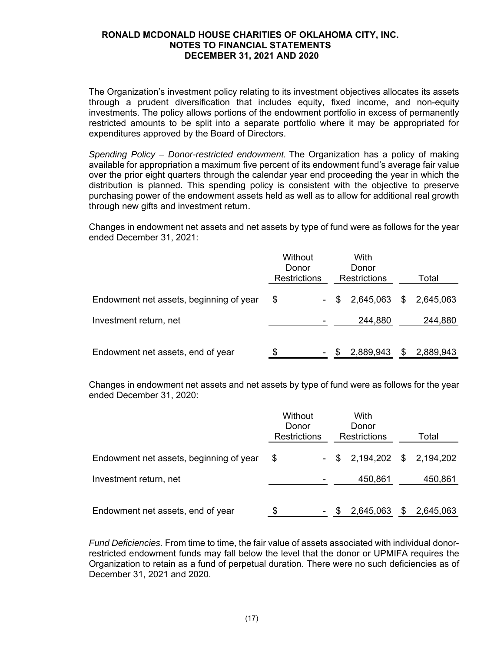The Organization's investment policy relating to its investment objectives allocates its assets through a prudent diversification that includes equity, fixed income, and non-equity investments. The policy allows portions of the endowment portfolio in excess of permanently restricted amounts to be split into a separate portfolio where it may be appropriated for expenditures approved by the Board of Directors.

*Spending Policy – Donor-restricted endowment.* The Organization has a policy of making available for appropriation a maximum five percent of its endowment fund's average fair value over the prior eight quarters through the calendar year end proceeding the year in which the distribution is planned. This spending policy is consistent with the objective to preserve purchasing power of the endowment assets held as well as to allow for additional real growth through new gifts and investment return.

Changes in endowment net assets and net assets by type of fund were as follows for the year ended December 31, 2021:

|                                         | Without<br>Donor<br><b>Restrictions</b> | With<br>Donor<br><b>Restrictions</b> |           | Total |           |
|-----------------------------------------|-----------------------------------------|--------------------------------------|-----------|-------|-----------|
| Endowment net assets, beginning of year | \$<br>$\sim$                            | <b>S</b>                             | 2,645,063 | S     | 2,645,063 |
| Investment return, net                  |                                         |                                      | 244,880   |       | 244,880   |
| Endowment net assets, end of year       | S<br>۰                                  |                                      | 2,889,943 |       | 2,889,943 |

Changes in endowment net assets and net assets by type of fund were as follows for the year ended December 31, 2020:

|                                         | Without<br>Donor<br><b>Restrictions</b> | With<br>Donor<br><b>Restrictions</b> | Total     |
|-----------------------------------------|-----------------------------------------|--------------------------------------|-----------|
| Endowment net assets, beginning of year | \$                                      | $-$ \$ 2,194,202 \$ 2,194,202        |           |
| Investment return, net                  |                                         | 450,861                              | 450,861   |
| Endowment net assets, end of year       | ۰                                       | 2,645,063                            | 2,645,063 |

*Fund Deficiencies.* From time to time, the fair value of assets associated with individual donorrestricted endowment funds may fall below the level that the donor or UPMIFA requires the Organization to retain as a fund of perpetual duration. There were no such deficiencies as of December 31, 2021 and 2020.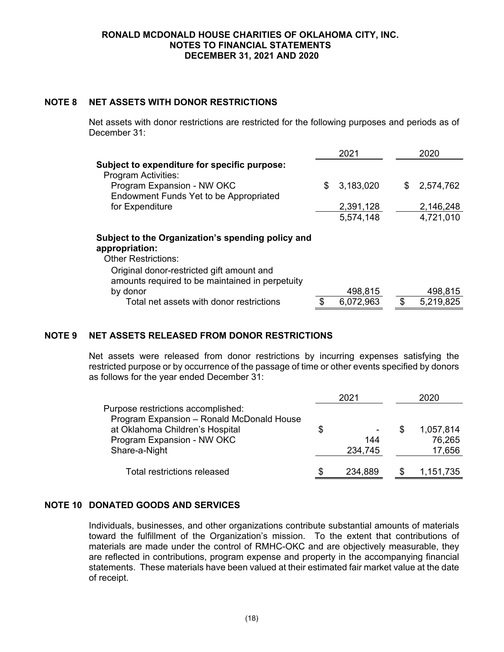### **NOTE 8 NET ASSETS WITH DONOR RESTRICTIONS**

Net assets with donor restrictions are restricted for the following purposes and periods as of December 31:

|                                                                                                                                                | 2021            |    | 2020      |
|------------------------------------------------------------------------------------------------------------------------------------------------|-----------------|----|-----------|
| Subject to expenditure for specific purpose:<br><b>Program Activities:</b>                                                                     |                 |    |           |
| Program Expansion - NW OKC<br>Endowment Funds Yet to be Appropriated                                                                           | \$<br>3,183,020 | S  | 2,574,762 |
| for Expenditure                                                                                                                                | 2,391,128       |    | 2,146,248 |
|                                                                                                                                                | 5,574,148       |    | 4,721,010 |
| Subject to the Organization's spending policy and<br>appropriation:<br><b>Other Restrictions:</b><br>Original donor-restricted gift amount and |                 |    |           |
| amounts required to be maintained in perpetuity<br>by donor                                                                                    | 498,815         |    | 498,815   |
| Total net assets with donor restrictions                                                                                                       | \$<br>6,072,963 | \$ | 5,219,825 |

# **NOTE 9 NET ASSETS RELEASED FROM DONOR RESTRICTIONS**

Net assets were released from donor restrictions by incurring expenses satisfying the restricted purpose or by occurrence of the passage of time or other events specified by donors as follows for the year ended December 31:

|                                                                                                                                                                   | 2021 |                | 2020 |                               |  |
|-------------------------------------------------------------------------------------------------------------------------------------------------------------------|------|----------------|------|-------------------------------|--|
| Purpose restrictions accomplished:<br>Program Expansion - Ronald McDonald House<br>at Oklahoma Children's Hospital<br>Program Expansion - NW OKC<br>Share-a-Night | \$   | 144<br>234,745 | S    | 1,057,814<br>76,265<br>17,656 |  |
| Total restrictions released                                                                                                                                       |      | 234,889        |      | 1,151,735                     |  |

# **NOTE 10 DONATED GOODS AND SERVICES**

Individuals, businesses, and other organizations contribute substantial amounts of materials toward the fulfillment of the Organization's mission. To the extent that contributions of materials are made under the control of RMHC-OKC and are objectively measurable, they are reflected in contributions, program expense and property in the accompanying financial statements. These materials have been valued at their estimated fair market value at the date of receipt.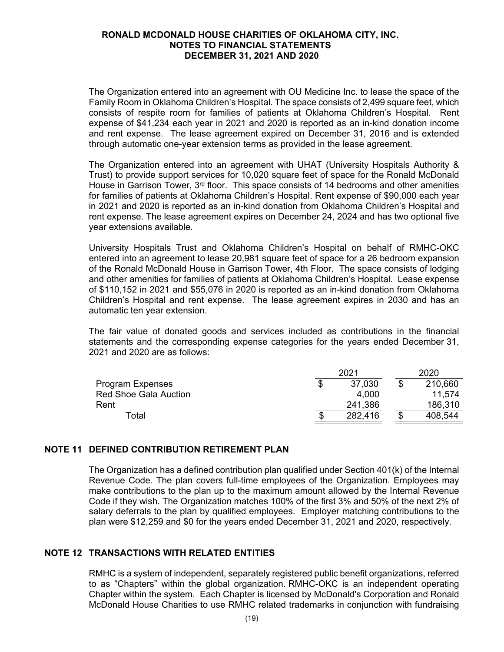The Organization entered into an agreement with OU Medicine Inc. to lease the space of the Family Room in Oklahoma Children's Hospital. The space consists of 2,499 square feet, which consists of respite room for families of patients at Oklahoma Children's Hospital. Rent expense of \$41,234 each year in 2021 and 2020 is reported as an in-kind donation income and rent expense. The lease agreement expired on December 31, 2016 and is extended through automatic one-year extension terms as provided in the lease agreement.

The Organization entered into an agreement with UHAT (University Hospitals Authority & Trust) to provide support services for 10,020 square feet of space for the Ronald McDonald House in Garrison Tower, 3<sup>rd</sup> floor. This space consists of 14 bedrooms and other amenities for families of patients at Oklahoma Children's Hospital. Rent expense of \$90,000 each year in 2021 and 2020 is reported as an in-kind donation from Oklahoma Children's Hospital and rent expense. The lease agreement expires on December 24, 2024 and has two optional five year extensions available.

University Hospitals Trust and Oklahoma Children's Hospital on behalf of RMHC-OKC entered into an agreement to lease 20,981 square feet of space for a 26 bedroom expansion of the Ronald McDonald House in Garrison Tower, 4th Floor. The space consists of lodging and other amenities for families of patients at Oklahoma Children's Hospital. Lease expense of \$110,152 in 2021 and \$55,076 in 2020 is reported as an in-kind donation from Oklahoma Children's Hospital and rent expense. The lease agreement expires in 2030 and has an automatic ten year extension.

The fair value of donated goods and services included as contributions in the financial statements and the corresponding expense categories for the years ended December 31, 2021 and 2020 are as follows:

|                              | 2021 |         |   | 2020    |  |  |
|------------------------------|------|---------|---|---------|--|--|
| <b>Program Expenses</b>      |      | 37,030  | S | 210,660 |  |  |
| <b>Red Shoe Gala Auction</b> |      | 4.000   |   | 11.574  |  |  |
| Rent                         |      | 241,386 |   | 186,310 |  |  |
| Total                        |      | 282.416 | S | 408.544 |  |  |

# **NOTE 11 DEFINED CONTRIBUTION RETIREMENT PLAN**

The Organization has a defined contribution plan qualified under Section 401(k) of the Internal Revenue Code. The plan covers full-time employees of the Organization. Employees may make contributions to the plan up to the maximum amount allowed by the Internal Revenue Code if they wish. The Organization matches 100% of the first 3% and 50% of the next 2% of salary deferrals to the plan by qualified employees. Employer matching contributions to the plan were \$12,259 and \$0 for the years ended December 31, 2021 and 2020, respectively.

# **NOTE 12 TRANSACTIONS WITH RELATED ENTITIES**

RMHC is a system of independent, separately registered public benefit organizations, referred to as "Chapters" within the global organization. RMHC-OKC is an independent operating Chapter within the system. Each Chapter is licensed by McDonald's Corporation and Ronald McDonald House Charities to use RMHC related trademarks in conjunction with fundraising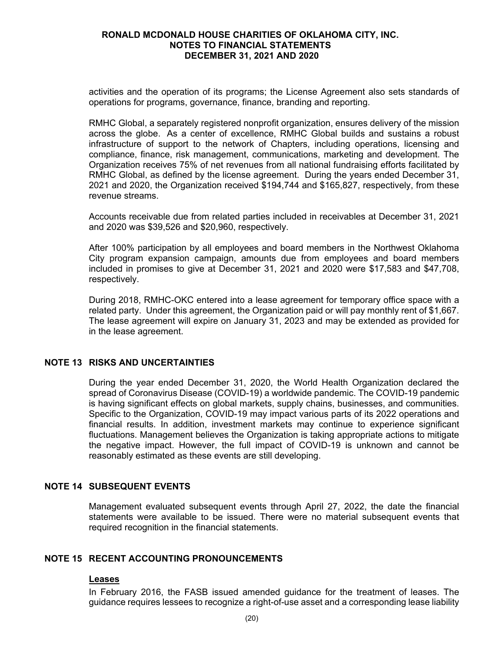activities and the operation of its programs; the License Agreement also sets standards of operations for programs, governance, finance, branding and reporting.

RMHC Global, a separately registered nonprofit organization, ensures delivery of the mission across the globe. As a center of excellence, RMHC Global builds and sustains a robust infrastructure of support to the network of Chapters, including operations, licensing and compliance, finance, risk management, communications, marketing and development. The Organization receives 75% of net revenues from all national fundraising efforts facilitated by RMHC Global, as defined by the license agreement. During the years ended December 31, 2021 and 2020, the Organization received \$194,744 and \$165,827, respectively, from these revenue streams.

Accounts receivable due from related parties included in receivables at December 31, 2021 and 2020 was \$39,526 and \$20,960, respectively.

After 100% participation by all employees and board members in the Northwest Oklahoma City program expansion campaign, amounts due from employees and board members included in promises to give at December 31, 2021 and 2020 were \$17,583 and \$47,708, respectively.

During 2018, RMHC-OKC entered into a lease agreement for temporary office space with a related party. Under this agreement, the Organization paid or will pay monthly rent of \$1,667. The lease agreement will expire on January 31, 2023 and may be extended as provided for in the lease agreement.

### **NOTE 13 RISKS AND UNCERTAINTIES**

During the year ended December 31, 2020, the World Health Organization declared the spread of Coronavirus Disease (COVID-19) a worldwide pandemic. The COVID-19 pandemic is having significant effects on global markets, supply chains, businesses, and communities. Specific to the Organization, COVID-19 may impact various parts of its 2022 operations and financial results. In addition, investment markets may continue to experience significant fluctuations. Management believes the Organization is taking appropriate actions to mitigate the negative impact. However, the full impact of COVID-19 is unknown and cannot be reasonably estimated as these events are still developing.

#### **NOTE 14 SUBSEQUENT EVENTS**

Management evaluated subsequent events through April 27, 2022, the date the financial statements were available to be issued. There were no material subsequent events that required recognition in the financial statements.

### **NOTE 15 RECENT ACCOUNTING PRONOUNCEMENTS**

#### **Leases**

In February 2016, the FASB issued amended guidance for the treatment of leases. The guidance requires lessees to recognize a right-of-use asset and a corresponding lease liability